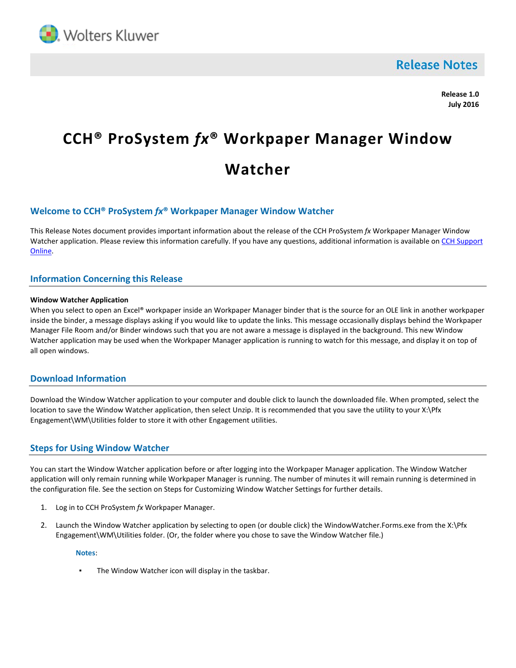

**Release Notes** 

**Release 1.0 July 2016**

# **CCH® ProSystem** *fx***® Workpaper Manager Window Watcher**

# **Welcome to CCH® ProSystem** *fx***® Workpaper Manager Window Watcher**

This Release Notes document provides important information about the release of the CCH ProSystem *fx* Workpaper Manager Window Watcher application. Please review this information carefully. If you have any questions, additional information is available on CCH Support [Online.](https://support.cch.com/productsupport/productSupport.aspx?id=5)

## **Information Concerning this Release**

#### **Window Watcher Application**

When you select to open an Excel® workpaper inside an Workpaper Manager binder that is the source for an OLE link in another workpaper inside the binder, a message displays asking if you would like to update the links. This message occasionally displays behind the Workpaper Manager File Room and/or Binder windows such that you are not aware a message is displayed in the background. This new Window Watcher application may be used when the Workpaper Manager application is running to watch for this message, and display it on top of all open windows.

## **Download Information**

Download the Window Watcher application to your computer and double click to launch the downloaded file. When prompted, select the location to save the Window Watcher application, then select Unzip. It is recommended that you save the utility to your X:\Pfx Engagement\WM\Utilities folder to store it with other Engagement utilities.

## **Steps for Using Window Watcher**

You can start the Window Watcher application before or after logging into the Workpaper Manager application. The Window Watcher application will only remain running while Workpaper Manager is running. The number of minutes it will remain running is determined in the configuration file. See the section on Steps for Customizing Window Watcher Settings for further details.

- 1. Log in to CCH ProSystem *fx* Workpaper Manager.
- 2. Launch the Window Watcher application by selecting to open (or double click) the WindowWatcher.Forms.exe from the X:\Pfx Engagement\WM\Utilities folder. (Or, the folder where you chose to save the Window Watcher file.)

**Notes**:

The Window Watcher icon will display in the taskbar.